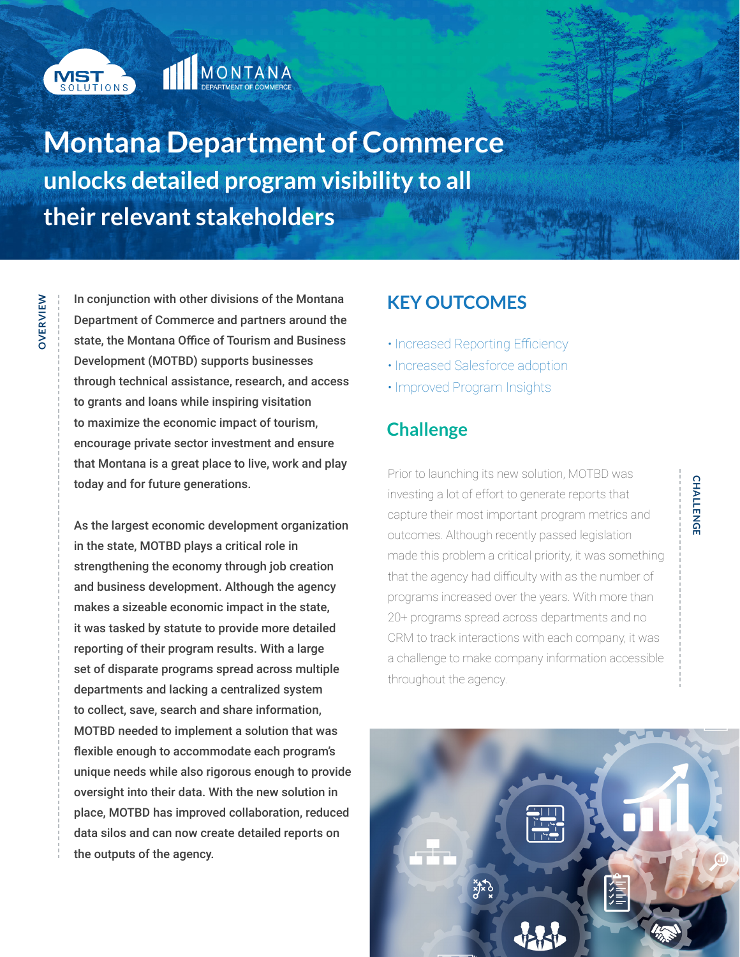

**OVERVIEW**

OVERVIEW

# MONTANA

**Montana Department of Commerce unlocks detailed program visibility to all their relevant stakeholders**

In conjunction with other divisions of the Montana Department of Commerce and partners around the state, the Montana Office of Tourism and Business Development (MOTBD) supports businesses through technical assistance, research, and access to grants and loans while inspiring visitation to maximize the economic impact of tourism, encourage private sector investment and ensure that Montana is a great place to live, work and play today and for future generations.

As the largest economic development organization in the state, MOTBD plays a critical role in strengthening the economy through job creation and business development. Although the agency makes a sizeable economic impact in the state, it was tasked by statute to provide more detailed reporting of their program results. With a large set of disparate programs spread across multiple departments and lacking a centralized system to collect, save, search and share information, MOTBD needed to implement a solution that was flexible enough to accommodate each program's unique needs while also rigorous enough to provide oversight into their data. With the new solution in place, MOTBD has improved collaboration, reduced data silos and can now create detailed reports on the outputs of the agency.

## **KEY OUTCOMES**

- Increased Reporting Efficiency
- Increased Salesforce adoption
- Improved Program Insights

# **Challenge**

Prior to launching its new solution, MOTBD was investing a lot of effort to generate reports that capture their most important program metrics and outcomes. Although recently passed legislation made this problem a critical priority, it was something that the agency had difficulty with as the number of programs increased over the years. With more than 20+ programs spread across departments and no CRM to track interactions with each company, it was a challenge to make company information accessible throughout the agency.